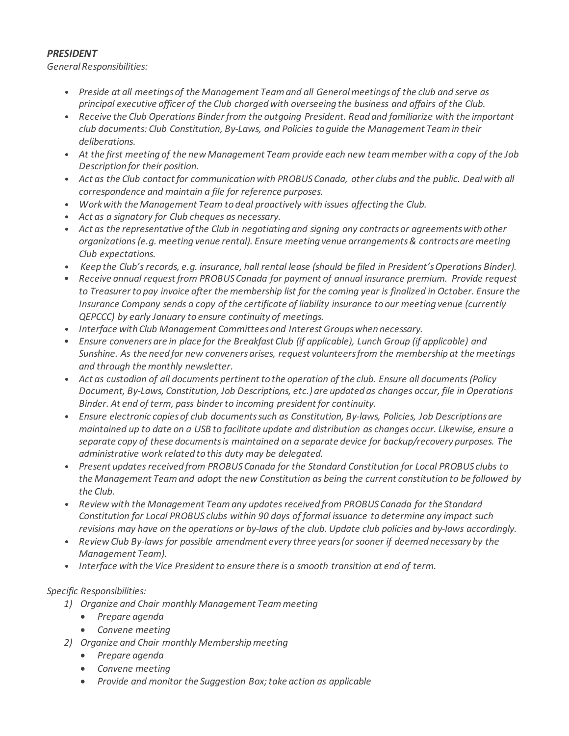## *PRESIDENT*

*GeneralResponsibilities:*

- *Preside at all meetingsof the Management Teamand all Generalmeetingsof the club and serve as principal executive officer of the Club chargedwith overseeing the business and affairs of the Club.*
- *Receive the Club Operations Binderfrom the outgoing President. Read and familiarize with the important club documents: Club Constitution, By-Laws, and Policies to guide the Management Teamin their deliberations.*
- At the first meeting of the new Management Team provide each new team member with a copy of the Job *Description for their position.*
- *Act as the Club contact for communicationwith PROBUSCanada, other clubs and the public. Dealwith all correspondence and maintain a file for reference purposes.*
- *Workwith the Management Team to deal proactively with issues affecting the Club.*
- *Act as a signatory for Club cheques as necessary.*
- *Act as the representative ofthe Club in negotiating and signing any contractsor agreementswith other organizations (e.g. meeting venue rental). Ensure meeting venue arrangements& contractsare meeting Club expectations.*
- Keep the Club's records, e.g. insurance, hall rental lease (should be filed in President's Operations Binder).
- *Receive annual request from PROBUSCanada for payment of annual insurance premium. Provide request* to Treasurer to pay invoice after the membership list for the coming year is finalized in October. Ensure the *Insurance Company sends a copy of the certificate of liability insurance to our meeting venue (currently QEPCCC) by early January to ensure continuity of meetings.*
- *Interface with Club Management Committeesand Interest Groupswhen necessary.*
- *Ensure convenersare in place for the Breakfast Club (if applicable), Lunch Group (if applicable) and Sunshine. As the need for new convenersarises, request volunteersfrom the membership at the meetings and through the monthly newsletter.*
- *Act as custodian of all documents pertinent to the operation of the club. Ensure all documents(Policy Document, By-Laws, Constitution, Job Descriptions, etc.) are updated as changes occur, file in Operations Binder. At end of term, pass binderto incoming president for continuity.*
- *Ensure electronic copiesof club documentssuch as Constitution, By-laws, Policies, Job Descriptionsare* maintained up to date on a USB to facilitate update and distribution as changes occur. Likewise, ensure a *separate copy of these documentsis maintained on a separate device for backup/recovery purposes. The administrative work related to this duty may be delegated.*
- *Present updatesreceived from PROBUSCanada for the Standard Constitution for Local PROBUS clubs to the Management Teamand adopt the new Constitution as being the current constitution to be followed by the Club.*
- *Review with the Management Teamany updatesreceived from PROBUSCanada for the Standard Constitution for Local PROBUS clubs within 90 days of formal issuance to determine any impact such* revisions may have on the operations or by-laws of the club. Update club policies and by-laws accordingly.
- *Review Club By-laws for possible amendment every three years(or sooner if deemed necessary by the Management Team).*
- *Interface with the Vice President to ensure there is a smooth transition at end of term.*

# *Specific Responsibilities:*

- *1) Organize and Chair monthly Management Teammeeting*
	- *Prepare agenda*
	- *Convene meeting*
- *2) Organize and Chair monthly Membershipmeeting*
	- *Prepare agenda*
	- *Convene meeting*
	- *Provide and monitor the Suggestion Box;take action as applicable*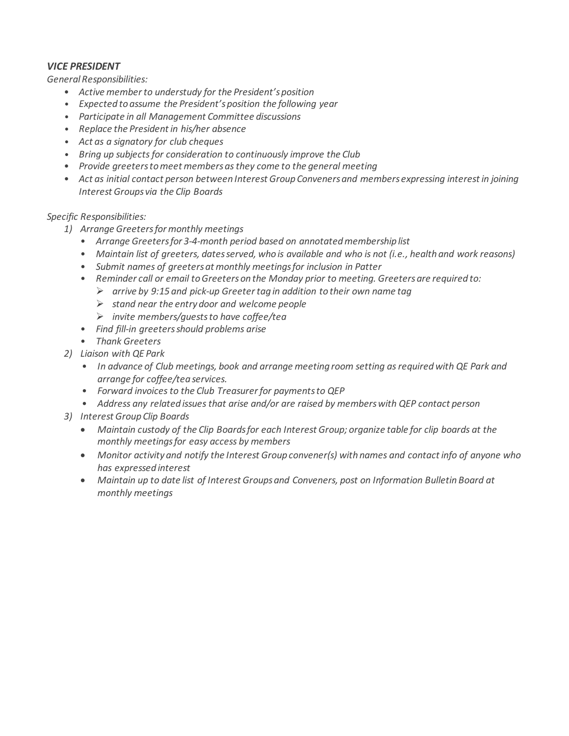## *VICE PRESIDENT*

*GeneralResponsibilities:*

- *Active memberto understudy for the President'sposition*
- *Expected to assume the President'sposition the following year*
- *Participate in all Management Committee discussions*
- *Replace the President in his/her absence*
- *Act as a signatory for club cheques*
- *Bring up subjectsfor consideration to continuously improve the Club*
- *Provide greeterstomeet membersasthey come to the general meeting*
- *Act as initial contact person between Interest Group Convenersand membersexpressing interest in joining Interest Groups via the Clip Boards*

### *Specific Responsibilities:*

- *1) Arrange Greetersformonthly meetings*
	- *Arrange Greetersfor 3-4-month period based on annotatedmembership list*
	- *Maintain list of greeters, datesserved, who is available and who is not (i.e., health and work reasons)*
	- *Submit names of greetersat monthly meetingsfor inclusion in Patter*
	- *Reminder call or email toGreeterson the Monday prior to meeting. Greetersare required to:*
		- ➢ *arrive by 9:15 and pick-up Greetertag in addition to their own name tag*
		- ➢ *stand near the entry door and welcome people*
		- ➢ *invite members/gueststo have coffee/tea*
	- *Find fill-in greetersshould problems arise*
	- *Thank Greeters*
- *2) Liaison with QE Park*
	- *In advance of Club meetings, book and arrange meeting room setting asrequiredwith QE Park and arrange for coffee/tea services.*
	- *Forward invoicesto the Club Treasurerfor paymentsto QEP*
	- *Address any related issuesthat arise and/or are raised by memberswith QEP contact person*
- *3) Interest Group Clip Boards*
	- *Maintain custody of the Clip Boardsfor each Interest Group; organize table for clip boards at the monthly meetingsfor easy access by members*
	- *Monitor activity and notify the Interest Group convener(s) with names and contact info of anyone who has expressed interest*
	- *Maintain up to date list of Interest Groupsand Conveners, post on Information Bulletin Board at monthly meetings*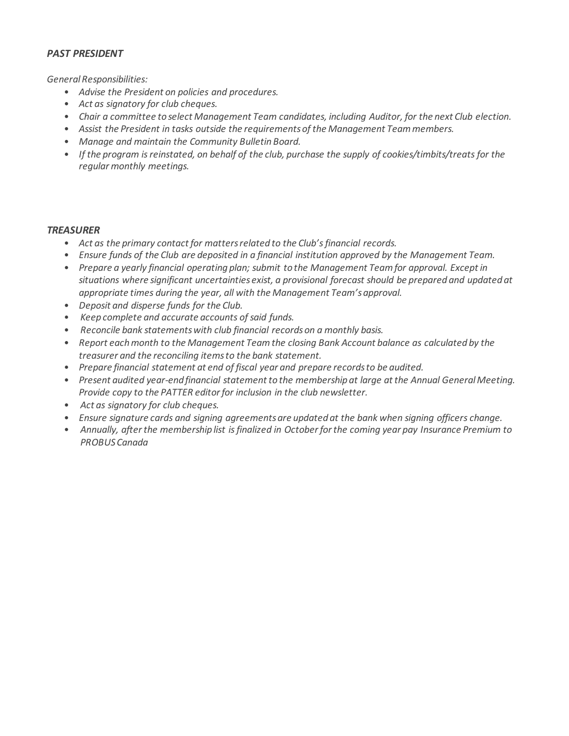## *PAST PRESIDENT*

*GeneralResponsibilities:*

- *Advise the President on policies and procedures.*
- *Act as signatory for club cheques.*
- *Chair a committee to select Management Team candidates, including Auditor, for the next Club election.*
- *Assist the President in tasks outside the requirementsof the Management Teammembers.*
- *Manage and maintain the Community Bulletin Board.*
- *If the program isreinstated, on behalf of the club, purchase the supply of cookies/timbits/treats for the regular monthly meetings.*

#### *TREASURER*

- *Act as the primary contact for mattersrelated to the Club'sfinancial records.*
- *Ensure funds of the Club are deposited in a financial institution approved by the Management Team.*
- *Prepare a yearly financial operating plan; submit to the Management Teamfor approval. Except in situations where significant uncertainties exist, a provisional forecast should be prepared and updated at appropriate times during the year, all with the Management Team'sapproval.*
- *Deposit and disperse funds for the Club.*
- *Keep complete and accurate accounts of said funds.*
- *Reconcile bank statementswith club financial recordson a monthly basis.*
- *Report eachmonth to the Management Teamthe closing Bank Account balance as calculated by the treasurer and the reconciling itemsto the bank statement.*
- *Prepare financial statement at end of fiscal year and prepare recordsto be audited.*
- *Present audited year-end financial statement to the membership at large at the Annual GeneralMeeting. Provide copy to the PATTER editorfor inclusion in the club newsletter.*
- *Act as signatory for club cheques.*
- *Ensure signature cards and signing agreementsare updated at the bank when signing officers change.*
- *Annually, afterthe membership list isfinalized in Octoberforthe coming year pay Insurance Premium to PROBUSCanada*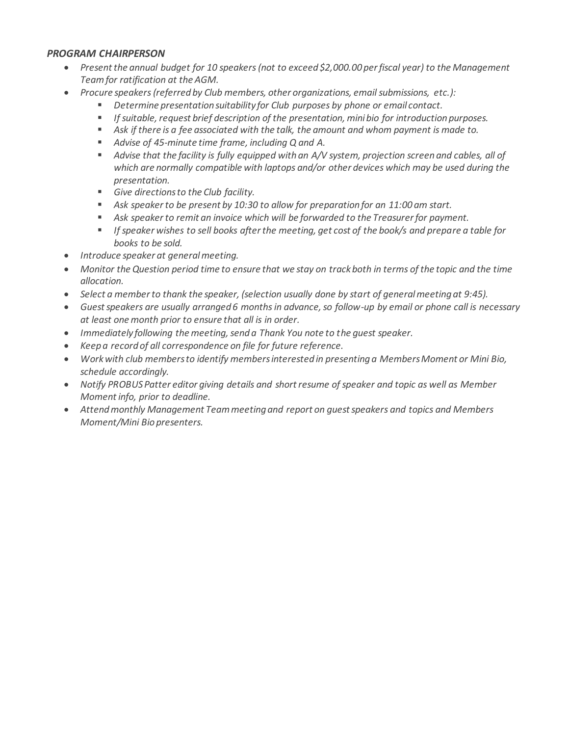### *PROGRAM CHAIRPERSON*

- *Present the annual budget for 10 speakers (not to exceed \$2,000.00 per fiscal year) to the Management Team for ratification at the AGM.*
- *Procure speakers (referred by Club members, other organizations, email submissions, etc.):*
	- *Determine presentation suitability for Club purposes by phone or email contact.*
	- *If suitable, request brief description of the presentation, mini bio for introduction purposes.*
	- Ask if there is a fee associated with the talk, the amount and whom payment is made to.
	- *Advise of 45-minute time frame, including Q and A.*
	- Advise that the facility is fully equipped with an A/V system, projection screen and cables, all of *which are normally compatible with laptops and/or other devices which may be used during the presentation.*
	- *Give directions to the Club facility.*
	- *Ask speaker to be present by 10:30 to allow for preparation for an 11:00 am start.*
	- Ask speaker to remit an invoice which will be forwarded to the Treasurer for payment.
	- *If speaker wishes to sell books after the meeting, get cost of the book/s and prepare a table for books to be sold.*
- *Introduce speaker at general meeting.*
- *Monitor the Question period time to ensure that we stay on track both in terms of the topic and the time allocation.*
- *Select a member to thank the speaker, (selection usually done by start of general meeting at 9:45).*
- *Guest speakers are usually arranged 6 months in advance, so follow-up by email or phone call is necessary at least one month prior to ensure that all is in order.*
- *Immediately following the meeting, send a Thank You note to the guest speaker.*
- *Keep a record of all correspondence on file for future reference.*
- *Work with club members to identify members interested in presenting a Members Moment or Mini Bio, schedule accordingly.*
- *Notify PROBUS Patter editor giving details and short resume of speaker and topic as well as Member Moment info, prior to deadline.*
- *Attend monthly Management Team meeting and report on guest speakers and topics and Members Moment/Mini Bio presenters.*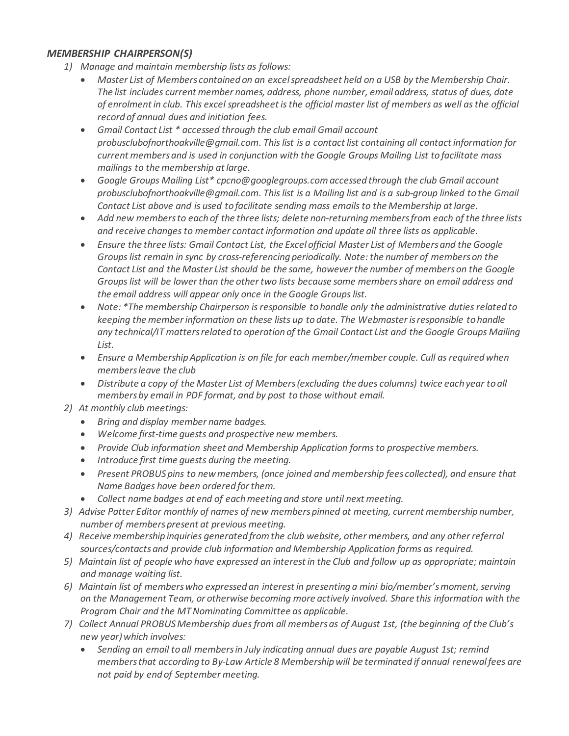## *MEMBERSHIP CHAIRPERSON(S)*

- *1) Manage and maintain membership lists as follows:*
	- *Master List of Members contained on an excelspreadsheet held on a USB by the Membership Chair. The list includes current member names, address, phone number, email address, status of dues, date of enrolmentin club. This excel spreadsheet isthe official master list of members as well asthe official record of annual dues and initiation fees.*
	- *Gmail Contact List \* accessed through the club email Gmail account [probusclubofnorthoakville@gmail.com.](mailto:probusclubofnorthoakville@gmail.com) Thislist is a contact list containing all contact information for current membersand is used in conjunction with the Google Groups Mailing List to facilitate mass mailings to the membership atlarge.*
	- *Google Groups Mailing List\* [cpcno@googlegroups.com](mailto:cpcno@googlegroups.com)accessed through the club Gmail account [probusclubofnorthoakville@gmail.com.](mailto:probusclubofnorthoakville@gmail.com) Thislist is a Mailing list and is a sub-group linked to the Gmail Contact List above and is used to facilitate sending mass emailsto the Membership atlarge.*
	- *Add new membersto each of the three lists; delete non-returningmembersfrom each of the three lists and receive changesto member contact information and update all three lists as applicable.*
	- *Ensure the three lists: Gmail Contact List, the Excel official Master List of Membersand the Google Groupslist remain in sync by cross-referencing periodically. Note:the number of memberson the Contact List and the Master List should be the same, howeverthe number of memberson the Google Groupslist will be lowerthan the othertwo lists because some membersshare an email address and the email address will appear only once in the Google Groupslist.*
	- *Note: \*The membership Chairperson isresponsible to handle only the administrative dutiesrelated to keeping the memberinformation on these lists up to date. The Webmasterisresponsible to handle any technical/IT mattersrelated to operation of the Gmail Contact List and the Google Groups Mailing List.*
	- *Ensure a MembershipApplication is on file for each member/member couple. Cull asrequiredwhen membersleave the club*
	- *Distribute a copy of the Master List of Members(excluding the dues columns) twice each year to all membersby email in PDF format, and by post to those without email.*
- *2) At monthly club meetings:*
	- *Bring and display member name badges.*
	- *Welcome first-time guests and prospective new members.*
	- *Provide Club information sheet and Membership Application formsto prospective members.*
	- *Introduce first time guests during the meeting.*
	- *Present PROBUSpins to newmembers, (once joined and membership fees collected), and ensure that Name Badges have been ordered forthem.*
	- *Collect name badges at end of eachmeeting and store until next meeting.*
- *3) Advise Patter Editor monthly of names of new memberspinned at meeting, current membership number, number of memberspresent at previous meeting.*
- *4) Receive membership inquiries generated fromthe club website, other members, and any otherreferral sources/contacts and provide club information and Membership Application forms as required.*
- 5) Maintain list of people who have expressed an interest in the Club and follow up as appropriate; maintain *and manage waiting list.*
- *6) Maintain list of memberswho expressed an interest in presenting a mini bio/member'smoment,serving on the Management Team, or otherwise becoming more actively involved. Share this information with the Program Chair and the MTNominating Committee as applicable.*
- *7) Collect Annual PROBUSMembership duesfrom all membersas of August 1st, (the beginning of the Club's new year)which involves:*
	- *Sending an email to all membersin July indicating annual dues are payable August 1st; remind membersthat according to By-Law Article 8 Membershipwill be terminated if annual renewalfees are not paid by end of September meeting.*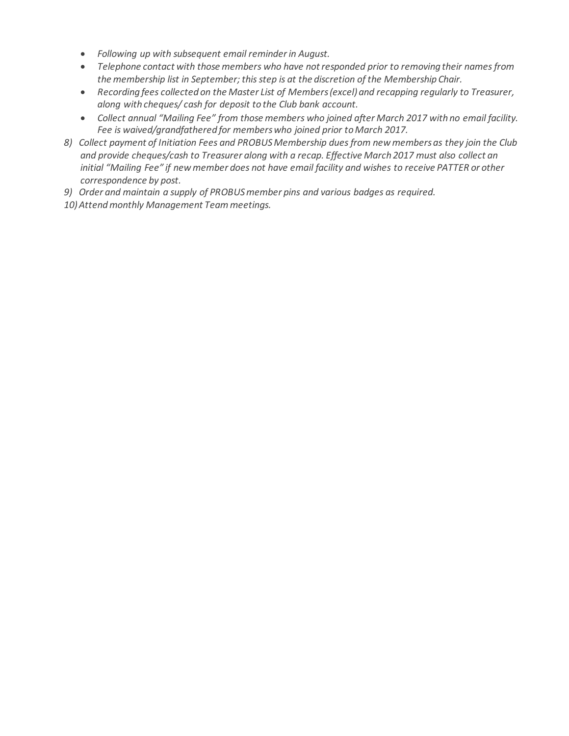- *Following up with subsequent email reminderin August.*
- *Telephone contact with those members who have notresponded prior to removing their namesfrom the membership list in September; thisstep is at the discretion of the Membership Chair.*
- *Recording fees collected on the Master List of Members(excel) and recapping regularly to Treasurer, along with cheques/ cash for deposit to the Club bank account.*
- *Collect annual "Mailing Fee" from those members who joined after March 2017 with no email facility. Fee is waived/grandfathered for memberswho joined prior toMarch 2017.*
- *8) Collect payment of Initiation Fees and PROBUSMembership duesfrom newmembersas they join the Club and provide cheques/cash to Treasurer along with a recap. Effective March 2017 must also collect an initial "Mailing Fee" if newmember does not have email facility and wishes to receive PATTER or other correspondence by post.*
- *9) Order and maintain a supply of PROBUSmember pins and various badges as required.*
- *10)Attendmonthly Management Teammeetings.*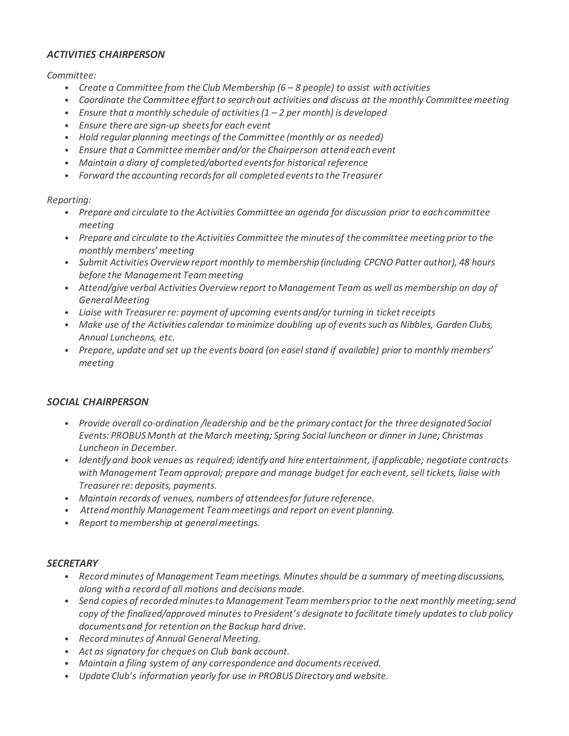### *ACTIVITIES CHAIRPERSON*

*Committee:*

- *Create a Committee from the Club Membership (6 – 8 people) to assist with activities*
- *Coordinate the Committee effort to search out activities and discuss at the monthly Committee meeting*
- *Ensure that a monthly schedule of activities(1 – 2 per month) is developed*
- *Ensure there are sign-up sheetsfor each event*
- *Hold regular planning meetings of the Committee (monthly or as needed)*
- *Ensure that a Committee member and/or the Chairperson attend each event*
- *Maintain a diary of completed/aborted eventsfor historical reference*
- *Forward the accounting recordsfor all completed eventsto the Treasurer*

*Reporting:*

- *Prepare and circulate to the Activities Committee an agenda for discussion prior to each committee meeting*
- *Prepare and circulate to the Activities Committee the minutesof the committee meeting priorto the monthly members' meeting*
- *Submit Activities Overview report monthly to membership (including CPCNO Patter author), 48 hours before the Management Teammeeting*
- *Attend/give verbal Activities Overview report toManagement Team as well as membership on day of GeneralMeeting*
- *Liaise with Treasurerre: payment of upcoming eventsand/or turning in ticketreceipts*
- *Make use of the Activities calendar tominimize doubling up of eventssuch as Nibbles, Garden Clubs, Annual Luncheons, etc.*
- *Prepare, update and set up the events board (on easel stand if available) priorto monthly members' meeting*

#### *SOCIAL CHAIRPERSON*

- *Provide overall co-ordination /leadership and be the primary contact for the three designated Social Events: PROBUSMonth at the March meeting; Spring Social luncheon or dinner in June; Christmas Luncheon in December.*
- *Identify and book venues as required; identify and hire entertainment, ifapplicable; negotiate contracts with Management Teamapproval; prepare and manage budget for each event,sell tickets, liaise with Treasurerre: deposits, payments.*
- *Maintain recordsof venues, numbers of attendeesfor future reference.*
- *Attendmonthly Management Teammeetings and report on event planning.*
- *Report tomembership at generalmeetings.*

#### *SECRETARY*

- *Recordminutes of Management Teammeetings. Minutesshould be a summary of meeting discussions, along with a record of all motions and decisions made.*
- *Send copies of recordedminutesto Management Teammembersprior to the next monthly meeting;send copy of the finalized/approved minutesto President's designate to facilitate timely updatesto club policy documentsand for retention on the Backup hard drive.*
- *Recordminutes of Annual GeneralMeeting.*
- *Act as signatory for cheques on Club bank account.*
- *Maintain a filing system of any correspondence and documentsreceived.*
- *Update Club's information yearly for use in PROBUSDirectory and website.*